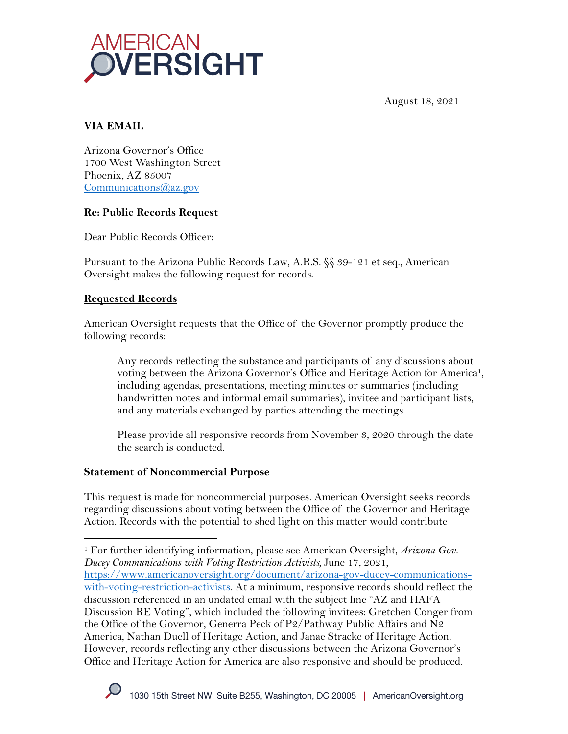

August 18, 2021

# **VIA EMAIL**

Arizona Governor's Office 1700 West Washington Street Phoenix, AZ 85007 Communications@az.gov

### **Re: Public Records Request**

Dear Public Records Officer:

Pursuant to the Arizona Public Records Law, A.R.S. §§ 39-121 et seq., American Oversight makes the following request for records.

### **Requested Records**

American Oversight requests that the Office of the Governor promptly produce the following records:

Any records reflecting the substance and participants of any discussions about voting between the Arizona Governor's Office and Heritage Action for America1, including agendas, presentations, meeting minutes or summaries (including handwritten notes and informal email summaries), invitee and participant lists, and any materials exchanged by parties attending the meetings.

Please provide all responsive records from November 3, 2020 through the date the search is conducted.

#### **Statement of Noncommercial Purpose**

This request is made for noncommercial purposes. American Oversight seeks records regarding discussions about voting between the Office of the Governor and Heritage Action. Records with the potential to shed light on this matter would contribute

<sup>1</sup> For further identifying information, please see American Oversight, *Arizona Gov. Ducey Communications with Voting Restriction Activists,* June 17, 2021, https://www.americanoversight.org/document/arizona-gov-ducey-communications-

with-voting-restriction-activists. At a minimum, responsive records should reflect the discussion referenced in an undated email with the subject line "AZ and HAFA Discussion RE Voting", which included the following invitees: Gretchen Conger from the Office of the Governor, Generra Peck of P2/Pathway Public Affairs and N2 America, Nathan Duell of Heritage Action, and Janae Stracke of Heritage Action. However, records reflecting any other discussions between the Arizona Governor's Office and Heritage Action for America are also responsive and should be produced.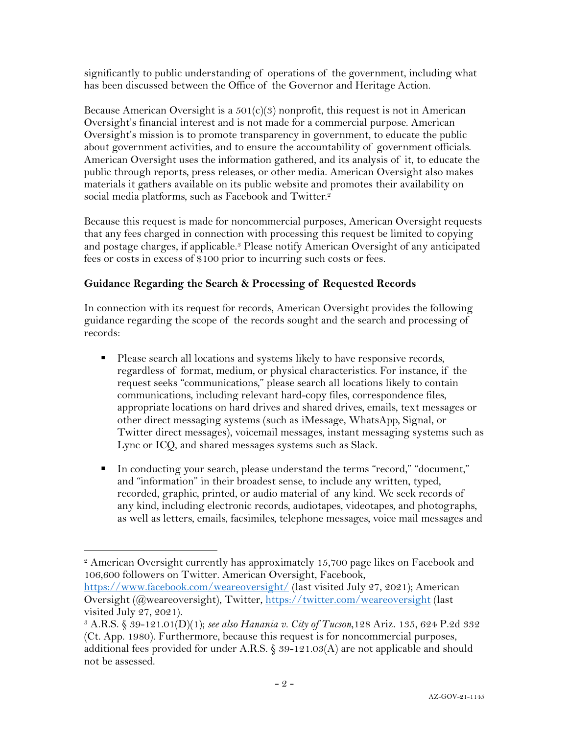significantly to public understanding of operations of the government, including what has been discussed between the Office of the Governor and Heritage Action.

Because American Oversight is a  $501(c)(3)$  nonprofit, this request is not in American Oversight's financial interest and is not made for a commercial purpose. American Oversight's mission is to promote transparency in government, to educate the public about government activities, and to ensure the accountability of government officials. American Oversight uses the information gathered, and its analysis of it, to educate the public through reports, press releases, or other media. American Oversight also makes materials it gathers available on its public website and promotes their availability on social media platforms, such as Facebook and Twitter.<sup>2</sup>

Because this request is made for noncommercial purposes, American Oversight requests that any fees charged in connection with processing this request be limited to copying and postage charges, if applicable.3 Please notify American Oversight of any anticipated fees or costs in excess of \$100 prior to incurring such costs or fees.

## **Guidance Regarding the Search & Processing of Requested Records**

In connection with its request for records, American Oversight provides the following guidance regarding the scope of the records sought and the search and processing of records:

- Please search all locations and systems likely to have responsive records, regardless of format, medium, or physical characteristics. For instance, if the request seeks "communications," please search all locations likely to contain communications, including relevant hard-copy files, correspondence files, appropriate locations on hard drives and shared drives, emails, text messages or other direct messaging systems (such as iMessage, WhatsApp, Signal, or Twitter direct messages), voicemail messages, instant messaging systems such as Lync or ICQ, and shared messages systems such as Slack.
- § In conducting your search, please understand the terms "record," "document," and "information" in their broadest sense, to include any written, typed, recorded, graphic, printed, or audio material of any kind. We seek records of any kind, including electronic records, audiotapes, videotapes, and photographs, as well as letters, emails, facsimiles, telephone messages, voice mail messages and

https://www.facebook.com/weareoversight/ (last visited July 27, 2021); American Oversight (@weareoversight), Twitter, https://twitter.com/weareoversight (last visited July 27, 2021).

<sup>2</sup> American Oversight currently has approximately 15,700 page likes on Facebook and 106,600 followers on Twitter. American Oversight, Facebook,

<sup>3</sup> A.R.S. § 39-121.01(D)(1); *see also Hanania v. City of Tucson*,128 Ariz. 135, 624 P.2d 332 (Ct. App. 1980). Furthermore, because this request is for noncommercial purposes, additional fees provided for under A.R.S. § 39-121.03(A) are not applicable and should not be assessed.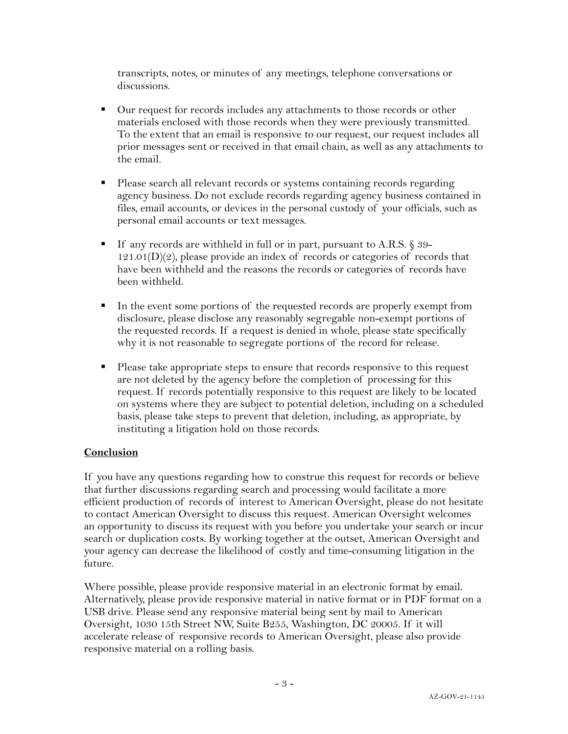transcripts, notes, or minutes of any meetings, telephone conversations or discussions.

- Our request for records includes any attachments to those records or other materials enclosed with those records when they were previously transmitted. To the extent that an email is responsive to our request, our request includes all prior messages sent or received in that email chain, as well as any attachments to the email.
- § Please search all relevant records or systems containing records regarding agency business. Do not exclude records regarding agency business contained in files, email accounts, or devices in the personal custody of your officials, such as personal email accounts or text messages.
- If any records are withheld in full or in part, pursuant to A.R.S. § 39- $121.01(D)(2)$ , please provide an index of records or categories of records that have been withheld and the reasons the records or categories of records have been withheld.
- In the event some portions of the requested records are properly exempt from disclosure, please disclose any reasonably segregable non-exempt portions of the requested records. If a request is denied in whole, please state specifically why it is not reasonable to segregate portions of the record for release.
- Please take appropriate steps to ensure that records responsive to this request are not deleted by the agency before the completion of processing for this request. If records potentially responsive to this request are likely to be located on systems where they are subject to potential deletion, including on a scheduled basis, please take steps to prevent that deletion, including, as appropriate, by instituting a litigation hold on those records.

## **Conclusion**

If you have any questions regarding how to construe this request for records or believe that further discussions regarding search and processing would facilitate a more efficient production of records of interest to American Oversight, please do not hesitate to contact American Oversight to discuss this request. American Oversight welcomes an opportunity to discuss its request with you before you undertake your search or incur search or duplication costs. By working together at the outset, American Oversight and your agency can decrease the likelihood of costly and time-consuming litigation in the future.

Where possible, please provide responsive material in an electronic format by email. Alternatively, please provide responsive material in native format or in PDF format on a USB drive. Please send any responsive material being sent by mail to American Oversight, 1030 15th Street NW, Suite B255, Washington, DC 20005. If it will accelerate release of responsive records to American Oversight, please also provide responsive material on a rolling basis.